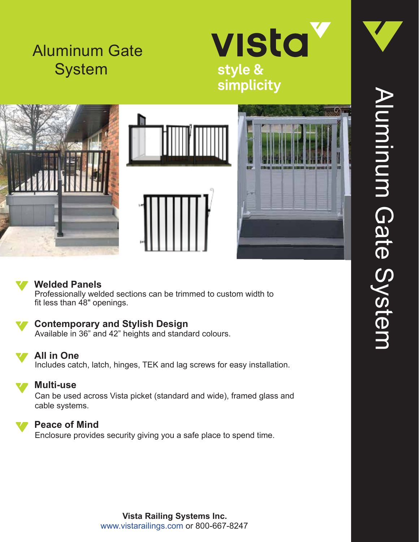# Aluminum Gate System











### **Welded Panels**

Professionally welded sections can be trimmed to custom width to fit less than 48" openings.

## **Contemporary and Stylish Design**

Available in 36" and 42" heights and standard colours.



#### **All in One**

Includes catch, latch, hinges, TEK and lag screws for easy installation.



#### **Multi-use**

Can be used across Vista picket (standard and wide), framed glass and cable systems.



#### **Peace of Mind**

Enclosure provides security giving you a safe place to spend time.